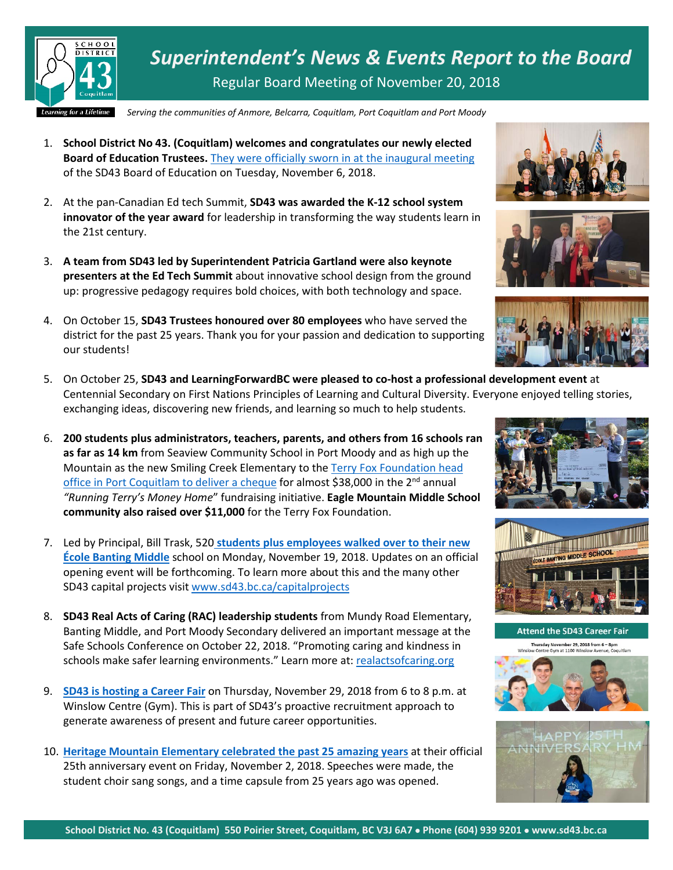

*Superintendent's News & Events Report to the Board* Regular Board Meeting of November 20, 2018

*Serving the communities of Anmore, Belcarra, Coquitlam, Port Coquitlam and Port Moody*

- 1. **School District No 43. (Coquitlam) welcomes and congratulates our newly elected Board of Education Trustees.** [They were officially sworn in at the inaugural meeting](https://www.sd43.bc.ca/Pages/newsitem.aspx?ItemID=459&ListID=ed550773-e9ff-4e20-9964-4e1b213f518c&TemplateID=Announcement_Item) of the SD43 Board of Education on Tuesday, November 6, 2018.
- 2. At the pan-Canadian Ed tech Summit, **SD43 was awarded the K-12 school system innovator of the year award** for leadership in transforming the way students learn in the 21st century.
- 3. **A team from SD43 led by Superintendent Patricia Gartland were also keynote presenters at the Ed Tech Summit** about innovative school design from the ground up: progressive pedagogy requires bold choices, with both technology and space.
- 4. On October 15, **SD43 Trustees honoured over 80 employees** who have served the district for the past 25 years. Thank you for your passion and dedication to supporting our students!
- 5. On October 25, **SD43 and LearningForwardBC were pleased to co-host a professional development event** at Centennial Secondary on First Nations Principles of Learning and Cultural Diversity. Everyone enjoyed telling stories, exchanging ideas, discovering new friends, and learning so much to help students.
- 6. **200 students plus administrators, teachers, parents, and others from 16 schools ran as far as 14 km** from Seaview Community School in Port Moody and as high up the Mountain as the new Smiling Creek Elementary to the [Terry Fox Foundation head](https://www.sd43.bc.ca/Pages/newsitem.aspx?ItemID=185&ListID=c4134e88-bc0d-484f-9d4d-93c69db7f94f&TemplateID=Announcement_Item)  [office in Port Coquitlam to deliver a cheque](https://www.sd43.bc.ca/Pages/newsitem.aspx?ItemID=185&ListID=c4134e88-bc0d-484f-9d4d-93c69db7f94f&TemplateID=Announcement_Item) for almost \$38,000 in the 2<sup>nd</sup> annual *"Running Terry's Money Home*" fundraising initiative. **Eagle Mountain Middle School community also raised over \$11,000** for the Terry Fox Foundation.
- 7. Led by Principal, Bill Trask, 520 **[students plus employees walked over to their new](https://www.sd43.bc.ca/Pages/newsitem.aspx?ItemID=194&ListID=c4134e88-bc0d-484f-9d4d-93c69db7f94f&TemplateID=Announcement_Item)  [École Banting Middle](https://www.sd43.bc.ca/Pages/newsitem.aspx?ItemID=194&ListID=c4134e88-bc0d-484f-9d4d-93c69db7f94f&TemplateID=Announcement_Item)** school on Monday, November 19, 2018. Updates on an official opening event will be forthcoming. To learn more about this and the many other SD43 capital projects visi[t www.sd43.bc.ca/capitalprojects](http://www.sd43.bc.ca/capitalprojects)
- 8. **SD43 Real Acts of Caring (RAC) leadership students** from Mundy Road Elementary, Banting Middle, and Port Moody Secondary delivered an important message at the Safe Schools Conference on October 22, 2018. "Promoting caring and kindness in schools make safer learning environments." Learn more at: [realactsofcaring.org](https://t.co/TTJVnom4Sv)
- 9. **[SD43 is hosting a Career Fair](https://www.sd43.bc.ca/District/Departments/HumanResources/Pages/default.aspx)** on Thursday, November 29, 2018 from 6 to 8 p.m. at Winslow Centre (Gym). This is part of SD43's proactive recruitment approach to generate awareness of present and future career opportunities.
- 10. **[Heritage Mountain Elementary celebrated the past 25 amazing years](https://www.sd43.bc.ca/Pages/newsitem.aspx?ItemID=191&ListID=c4134e88-bc0d-484f-9d4d-93c69db7f94f&TemplateID=Announcement_Item)** at their official 25th anniversary event on Friday, November 2, 2018. Speeches were made, the student choir sang songs, and a time capsule from 25 years ago was opened.











**Attend the SD43 Career Fair** Thursday November 29, 2018 from 6 - 8pm<br>Winslow Centre Gym at 1100 Winslow Avenue, Coquitlar